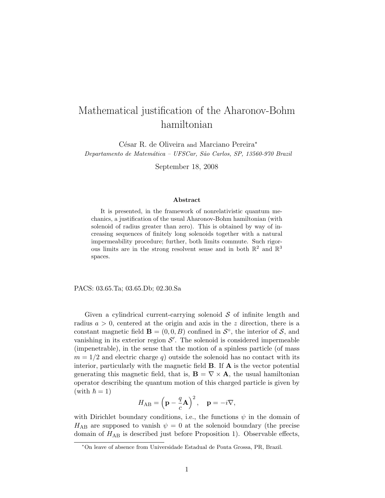# Mathematical justification of the Aharonov-Bohm hamiltonian

César R. de Oliveira and Marciano Pereira<sup>\*</sup> Departamento de Matemática – UFSCar, São Carlos, SP, 13560-970 Brazil

September 18, 2008

#### Abstract

It is presented, in the framework of nonrelativistic quantum mechanics, a justification of the usual Aharonov-Bohm hamiltonian (with solenoid of radius greater than zero). This is obtained by way of increasing sequences of finitely long solenoids together with a natural impermeability procedure; further, both limits commute. Such rigorous limits are in the strong resolvent sense and in both  $\mathbb{R}^2$  and  $\mathbb{R}^3$ spaces.

PACS: 03.65.Ta; 03.65.Db; 02.30.Sa

Given a cylindrical current-carrying solenoid  $\mathcal S$  of infinite length and radius  $a > 0$ , centered at the origin and axis in the z direction, there is a constant magnetic field  $\mathbf{B} = (0, 0, B)$  confined in  $\mathcal{S}^{\circ}$ , the interior of  $\mathcal{S}$ , and vanishing in its exterior region  $S'$ . The solenoid is considered impermeable (impenetrable), in the sense that the motion of a spinless particle (of mass  $m = 1/2$  and electric charge q outside the solenoid has no contact with its interior, particularly with the magnetic field  $\bf{B}$ . If  $\bf{A}$  is the vector potential generating this magnetic field, that is,  $\mathbf{B} = \nabla \times \mathbf{A}$ , the usual hamiltonian operator describing the quantum motion of this charged particle is given by (with  $\hbar = 1$ )

$$
H_{AB} = \left(\mathbf{p} - \frac{q}{c}\mathbf{A}\right)^2, \quad \mathbf{p} = -i\nabla,
$$

with Dirichlet boundary conditions, i.e., the functions  $\psi$  in the domain of  $H_{AB}$  are supposed to vanish  $\psi = 0$  at the solenoid boundary (the precise domain of  $H_{AB}$  is described just before Proposition 1). Observable effects,

<sup>∗</sup>On leave of absence from Universidade Estadual de Ponta Grossa, PR, Brazil.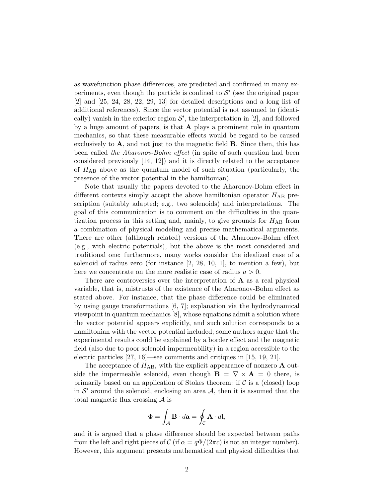as wavefunction phase differences, are predicted and confirmed in many experiments, even though the particle is confined to  $\mathcal{S}'$  (see the original paper [2] and [25, 24, 28, 22, 29, 13] for detailed descriptions and a long list of additional references). Since the vector potential is not assumed to (identically) vanish in the exterior region  $\mathcal{S}'$ , the interpretation in [2], and followed by a huge amount of papers, is that  $A$  plays a prominent role in quantum mechanics, so that these measurable effects would be regard to be caused exclusively to  $\bf{A}$ , and not just to the magnetic field  $\bf{B}$ . Since then, this has been called the Aharonov-Bohm effect (in spite of such question had been considered previously [14, 12]) and it is directly related to the acceptance of  $H_{AB}$  above as the quantum model of such situation (particularly, the presence of the vector potential in the hamiltonian).

Note that usually the papers devoted to the Aharonov-Bohm effect in different contexts simply accept the above hamiltonian operator  $H_{AB}$  prescription (suitably adapted; e.g., two solenoids) and interpretations. The goal of this communication is to comment on the difficulties in the quantization process in this setting and, mainly, to give grounds for  $H_{AB}$  from a combination of physical modeling and precise mathematical arguments. There are other (although related) versions of the Aharonov-Bohm effect (e.g., with electric potentials), but the above is the most considered and traditional one; furthermore, many works consider the idealized case of a solenoid of radius zero (for instance  $[2, 28, 10, 1]$ , to mention a few), but here we concentrate on the more realistic case of radius  $a > 0$ .

There are controversies over the interpretation of A as a real physical variable, that is, mistrusts of the existence of the Aharonov-Bohm effect as stated above. For instance, that the phase difference could be eliminated by using gauge transformations [6, 7]; explanation via the hydrodynamical viewpoint in quantum mechanics [8], whose equations admit a solution where the vector potential appears explicitly, and such solution corresponds to a hamiltonian with the vector potential included; some authors argue that the experimental results could be explained by a border effect and the magnetic field (also due to poor solenoid impermeability) in a region accessible to the electric particles [27, 16]—see comments and critiques in [15, 19, 21].

The acceptance of  $H_{AB}$ , with the explicit appearance of nonzero **A** outside the impermeable solenoid, even though  $\mathbf{B} = \nabla \times \mathbf{A} = 0$  there, is primarily based on an application of Stokes theorem: if  $\mathcal C$  is a (closed) loop in  $\mathcal{S}'$  around the solenoid, enclosing an area  $\mathcal{A}$ , then it is assumed that the total magnetic flux crossing A is

$$
\Phi = \int_{\mathcal{A}} \mathbf{B} \cdot d\mathbf{a} = \oint_{\mathcal{C}} \mathbf{A} \cdot d\mathbf{l},
$$

and it is argued that a phase difference should be expected between paths from the left and right pieces of C (if  $\alpha = q\Phi/(2\pi c)$  is not an integer number). However, this argument presents mathematical and physical difficulties that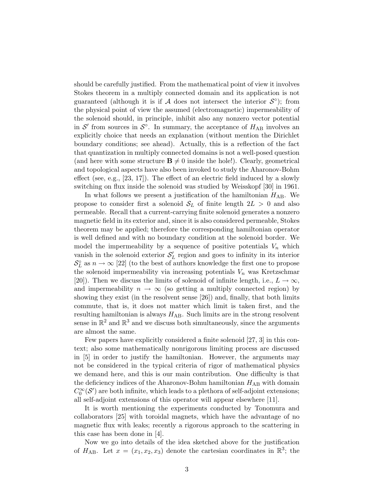should be carefully justified. From the mathematical point of view it involves Stokes theorem in a multiply connected domain and its application is not guaranteed (although it is if A does not intersect the interior  $\mathcal{S}^{\circ}$ ); from the physical point of view the assumed (electromagnetic) impermeability of the solenoid should, in principle, inhibit also any nonzero vector potential in  $\mathcal{S}'$  from sources in  $\mathcal{S}^{\circ}$ . In summary, the acceptance of  $H_{AB}$  involves an explicitly choice that needs an explanation (without mention the Dirichlet boundary conditions; see ahead). Actually, this is a reflection of the fact that quantization in multiply connected domains is not a well-posed question (and here with some structure  $\mathbf{B} \neq 0$  inside the hole!). Clearly, geometrical and topological aspects have also been invoked to study the Aharonov-Bohm effect (see, e.g.,  $[23, 17]$ ). The effect of an electric field induced by a slowly switching on flux inside the solenoid was studied by Weisskopf [30] in 1961.

In what follows we present a justification of the hamiltonian  $H_{AB}$ . We propose to consider first a solenoid  $S_L$  of finite length  $2L > 0$  and also permeable. Recall that a current-carrying finite solenoid generates a nonzero magnetic field in its exterior and, since it is also considered permeable, Stokes theorem may be applied; therefore the corresponding hamiltonian operator is well defined and with no boundary condition at the solenoid border. We model the impermeability by a sequence of positive potentials  $V_n$  which vanish in the solenoid exterior  $S'_{L}$  region and goes to infinity in its interior  $\mathcal{S}_L^{\circ}$  as  $n \to \infty$  [22] (to the best of authors knowledge the first one to propose the solenoid impermeability via increasing potentials  $V_n$  was Kretzschmar [20]). Then we discuss the limits of solenoid of infinite length, i.e.,  $L \to \infty$ , and impermeability  $n \to \infty$  (so getting a multiply connected region) by showing they exist (in the resolvent sense [26]) and, finally, that both limits commute, that is, it does not matter which limit is taken first, and the resulting hamiltonian is always  $H_{AB}$ . Such limits are in the strong resolvent sense in  $\mathbb{R}^2$  and  $\mathbb{R}^3$  and we discuss both simultaneously, since the arguments are almost the same.

Few papers have explicitly considered a finite solenoid [27, 3] in this context; also some mathematically nonrigorous limiting process are discussed in [5] in order to justify the hamiltonian. However, the arguments may not be considered in the typical criteria of rigor of mathematical physics we demand here, and this is our main contribution. One difficulty is that the deficiency indices of the Aharonov-Bohm hamiltonian  $H_{AB}$  with domain  $C_0^{\infty}(S')$  are both infinite, which leads to a plethora of self-adjoint extensions; all self-adjoint extensions of this operator will appear elsewhere [11].

It is worth mentioning the experiments conducted by Tonomura and collaborators [25] with toroidal magnets, which have the advantage of no magnetic flux with leaks; recently a rigorous approach to the scattering in this case has been done in [4].

Now we go into details of the idea sketched above for the justification of  $H_{AB}$ . Let  $x = (x_1, x_2, x_3)$  denote the cartesian coordinates in  $\mathbb{R}^3$ ; the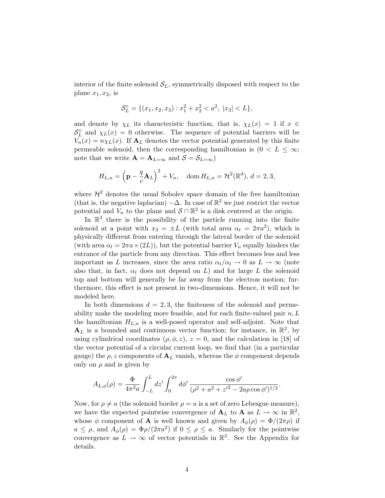interior of the finite solenoid  $S_L$ , symmetrically disposed with respect to the plane  $x_1, x_2$ , is

$$
\mathcal{S}_L^{\circ} = \{ (x_1, x_2, x_3) : x_1^2 + x_2^2 < a^2, \ |x_3| < L \},
$$

and denote by  $\chi_L$  its characteristic function, that is,  $\chi_L(x) = 1$  if  $x \in$  $S_L^{\circ}$  and  $\chi_L(x) = 0$  otherwise. The sequence of potential barriers will be  $V_n(x) = n \chi_L(x)$ . If  $A_L$  denotes the vector potential generated by this finite permeable solenoid, then the corresponding hamiltonian is  $(0 < L \leq \infty;$ note that we write  $\mathbf{A} = \mathbf{A}_{L=\infty}$  and  $\mathcal{S} = \mathcal{S}_{L=\infty}$ )

$$
H_{L,n} = \left(\mathbf{p} - \frac{q}{c}\mathbf{A}_L\right)^2 + V_n, \quad \text{dom}\, H_{L,n} = \mathcal{H}^2(\mathbb{R}^d),\, d = 2,3,
$$

where  $\mathcal{H}^2$  denotes the usual Sobolev space domain of the free hamiltonian (that is, the negative laplacian)  $-\Delta$ . In case of  $\mathbb{R}^2$  we just restrict the vector potential and  $V_n$  to the plane and  $S \cap \mathbb{R}^2$  is a disk centered at the origin.

In  $\mathbb{R}^3$  there is the possibility of the particle running into the finite solenoid at a point with  $x_3 = \pm L$  (with total area  $\alpha_t = 2\pi a^2$ ), which is physically different from entering through the lateral border of the solenoid (with area  $\alpha_l = 2\pi a \times (2L)$ ), but the potential barrier  $V_n$  equally hinders the entrance of the particle from any direction. This effect becomes less and less important as L increases, since the area ratio  $\alpha_t/\alpha_l \to 0$  as  $L \to \infty$  (note also that, in fact,  $\alpha_t$  does not depend on L) and for large L the solenoid top and bottom will generally be far away from the electron motion; furthermore, this effect is not present in two-dimensions. Hence, it will not be modeled here.

In both dimensions  $d = 2, 3$ , the finiteness of the solenoid and permeability make the modeling more feasible, and for each finite-valued pair  $n, L$ the hamiltonian  $H_{L,n}$  is a well-posed operator and self-adjoint. Note that  ${\bf A}_L$  is a bounded and continuous vector function; for instance, in  $\mathbb{R}^2$ , by using cylindrical coordinates  $(\rho, \phi, z)$ ,  $z = 0$ , and the calculation in [18] of the vector potential of a circular current loop, we find that (in a particular gauge) the  $\rho$ , z components of  $A_L$  vanish, whereas the  $\phi$  component depends only on  $\rho$  and is given by

$$
A_{L,\phi}(\rho) = \frac{\Phi}{4\pi^2 a} \int_{-L}^{L} dz' \int_0^{2\pi} d\phi' \frac{\cos \phi'}{(\rho^2 + a^2 + z'^2 - 2a\rho \cos \phi')^{1/2}}
$$

.

Now, for  $\rho \neq a$  (the solenoid border  $\rho = a$  is a set of zero Lebesgue measure), we have the expected pointwise convergence of  $\mathbf{A}_L$  to  $\mathbf{A}$  as  $L \to \infty$  in  $\mathbb{R}^2$ , whose  $\phi$  component of **A** is well known and given by  $A_{\phi}(\rho) = \Phi/(2\pi\rho)$  if  $a \leq \rho$ , and  $A_{\phi}(\rho) = \Phi \rho/(2\pi a^2)$  if  $0 \leq \rho \leq a$ . Similarly for the pointwise convergence as  $L \to \infty$  of vector potentials in  $\mathbb{R}^3$ . See the Appendix for details.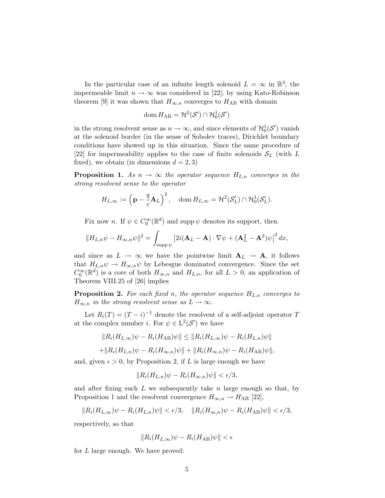In the particular case of an infinite length solenoid  $L = \infty$  in  $\mathbb{R}^3$ , the impermeable limit  $n \to \infty$  was considered in [22]; by using Kato-Robinson theorem [9] it was shown that  $H_{\infty,n}$  converges to  $H_{AB}$  with domain

$$
\mathrm{dom}\, H_{\mathrm{AB}}=\mathcal{H}^2(\mathcal{S}')\cap\mathcal{H}_0^1(\mathcal{S}')
$$

in the strong resolvent sense as  $n \to \infty$ , and since elements of  $\mathcal{H}_0^1(\mathcal{S}')$  vanish at the solenoid border (in the sense of Sobolev traces), Dirichlet boundary conditions have showed up in this situation. Since the same procedure of [22] for impermeability applies to the case of finite solenoids  $S_L$  (with L fixed), we obtain (in dimensions  $d = 2, 3$ )

**Proposition 1.** As  $n \to \infty$  the operator sequence  $H_{L,n}$  converges in the strong resolvent sense to the operator

$$
H_{L,\infty} := \left(\mathbf{p} - \frac{q}{c}\mathbf{A}_L\right)^2, \quad \text{dom}\, H_{L,\infty} = \mathcal{H}^2(\mathcal{S}'_L) \cap \mathcal{H}_0^1(\mathcal{S}'_L).
$$

Fix now *n*. If  $\psi \in C_0^{\infty}(\mathbb{R}^d)$  and supp  $\psi$  denotes its support, then

$$
||H_{L,n}\psi - H_{\infty,n}\psi||^2 = \int_{\text{supp}\,\psi} |2i(\mathbf{A}_L - \mathbf{A})\cdot \nabla \psi + (\mathbf{A}_L^2 - \mathbf{A}^2)\psi|^2 dx,
$$

and since as  $L \to \infty$  we have the pointwise limit  $A_L \to A$ , it follows that  $H_{L,n}\psi \to H_{\infty,n}\psi$  by Lebesgue dominated convergence. Since the set  $C_0^{\infty}(\mathbb{R}^d)$  is a core of both  $H_{\infty,n}$  and  $H_{L,n}$ , for all  $L > 0$ , an application of Theorem VIII.25 of [26] implies

**Proposition 2.** For each fixed n, the operator sequence  $H_{L,n}$  converges to  $H_{\infty,n}$  in the strong resolvent sense as  $L \to \infty$ .

Let  $R_i(T) = (T - i)^{-1}$  denote the resolvent of a self-adjoint operator T at the complex number *i*. For  $\psi \in L^2(\mathcal{S}')$  we have

$$
||R_i(H_{L,\infty})\psi - R_i(H_{AB})\psi|| \le ||R_i(H_{L,\infty})\psi - R_i(H_{L,n})\psi||
$$
  
+ 
$$
||R_i(H_{L,n})\psi - R_i(H_{\infty,n})\psi|| + ||R_i(H_{\infty,n})\psi - R_i(H_{AB})\psi||
$$

and, given  $\epsilon > 0$ , by Proposition 2, if L is large enough we have

$$
||R_i(H_{L,n})\psi - R_i(H_{\infty,n})\psi|| < \epsilon/3,
$$

and after fixing such  $L$  we subsequently take n large enough so that, by Proposition 1 and the resolvent convergence  $H_{\infty,n} \to H_{AB}$  [22],

$$
||R_i(H_{L,\infty})\psi - R_i(H_{L,n})\psi|| < \epsilon/3, \quad ||R_i(H_{\infty,n})\psi - R_i(H_{AB})\psi|| < \epsilon/3,
$$

respectively, so that

$$
||R_i(H_{L,\infty})\psi - R_i(H_{AB})\psi|| < \epsilon
$$

for L large enough. We have proved: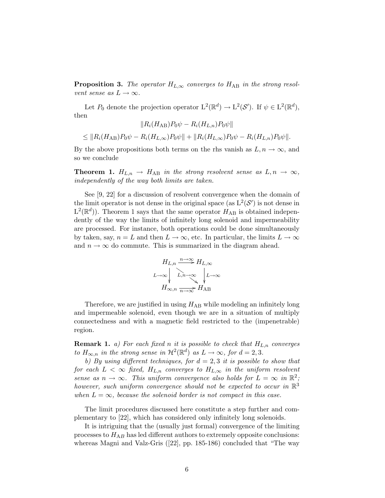**Proposition 3.** The operator  $H_{L,\infty}$  converges to  $H_{AB}$  in the strong resolvent sense as  $L \to \infty$ .

Let  $P_0$  denote the projection operator  $L^2(\mathbb{R}^d) \to L^2(\mathcal{S}')$ . If  $\psi \in L^2(\mathbb{R}^d)$ , then  $\Vert D \left( H \rightarrow D \right) \Vert$ 

$$
||R_i(H_{AB})P_0\psi - R_i(H_{L,n})P_0\psi||
$$
  
\n
$$
\leq ||R_i(H_{AB})P_0\psi - R_i(H_{L,\infty})P_0\psi|| + ||R_i(H_{L,\infty})P_0\psi - R_i(H_{L,n})P_0\psi||.
$$

By the above propositions both terms on the rhs vanish as  $L, n \to \infty$ , and so we conclude

**Theorem 1.**  $H_{L,n} \rightarrow H_{AB}$  in the strong resolvent sense as  $L, n \rightarrow \infty$ , independently of the way both limits are taken.

See [9, 22] for a discussion of resolvent convergence when the domain of the limit operator is not dense in the original space (as  $L^2(\mathcal{S}')$  is not dense in  $L^2(\mathbb{R}^d)$ ). Theorem 1 says that the same operator  $H_{AB}$  is obtained independently of the way the limits of infinitely long solenoid and impermeability are processed. For instance, both operations could be done simultaneously by taken, say,  $n = L$  and then  $L \to \infty$ , etc. In particular, the limits  $L \to \infty$ and  $n \to \infty$  do commute. This is summarized in the diagram ahead.

$$
H_{L,n} \xrightarrow{n \to \infty} H_{L,\infty}
$$
  

$$
L \to \infty \qquad L,n \to \infty
$$
  

$$
H_{\infty,n} \xrightarrow[n \to \infty]{} H_{AB}
$$

Therefore, we are justified in using  $H_{AB}$  while modeling an infinitely long and impermeable solenoid, even though we are in a situation of multiply connectedness and with a magnetic field restricted to the (impenetrable) region.

**Remark 1.** a) For each fixed n it is possible to check that  $H_{L,n}$  converges to  $H_{\infty,n}$  in the strong sense in  $\mathcal{H}^2(\mathbb{R}^d)$  as  $L \to \infty$ , for  $d = 2,3$ .

b) By using different techniques, for  $d = 2, 3$  it is possible to show that for each  $L < \infty$  fixed,  $H_{L,n}$  converges to  $H_{L,\infty}$  in the uniform resolvent sense as  $n \to \infty$ . This uniform convergence also holds for  $L = \infty$  in  $\mathbb{R}^2$ ; however, such uniform convergence should not be expected to occur in  $\mathbb{R}^3$ when  $L = \infty$ , because the solenoid border is not compact in this case.

The limit procedures discussed here constitute a step further and complementary to [22], which has considered only infinitely long solenoids.

It is intriguing that the (usually just formal) convergence of the limiting processes to  $H_{AB}$  has led different authors to extremely opposite conclusions: whereas Magni and Valz-Gris ([22], pp. 185-186) concluded that "The way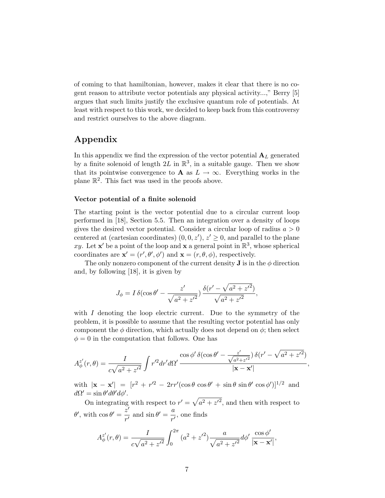of coming to that hamiltonian, however, makes it clear that there is no cogent reason to attribute vector potentials any physical activity...," Berry [5] argues that such limits justify the exclusive quantum role of potentials. At least with respect to this work, we decided to keep back from this controversy and restrict ourselves to the above diagram.

## Appendix

In this appendix we find the expression of the vector potential  $A_L$  generated by a finite solenoid of length  $2L$  in  $\mathbb{R}^3$ , in a suitable gauge. Then we show that its pointwise convergence to **A** as  $L \to \infty$ . Everything works in the plane  $\mathbb{R}^2$ . This fact was used in the proofs above.

#### Vector potential of a finite solenoid

The starting point is the vector potential due to a circular current loop performed in [18], Section 5.5. Then an integration over a density of loops gives the desired vector potential. Consider a circular loop of radius  $a > 0$ centered at (cartesian coordinates)  $(0,0,z')$ ,  $z' \geq 0$ , and parallel to the plane xy. Let  $\mathbf{x}'$  be a point of the loop and  $\mathbf{x}$  a general point in  $\mathbb{R}^3$ , whose spherical coordinates are  $\mathbf{x}' = (r', \theta', \phi')$  and  $\mathbf{x} = (r, \theta, \phi)$ , respectively.

The only nonzero component of the current density **J** is in the  $\phi$  direction and, by following [18], it is given by

$$
J_{\phi} = I \,\delta(\cos\theta' - \frac{z'}{\sqrt{a^2 + z'^2}}) \frac{\delta(r' - \sqrt{a^2 + z'^2})}{\sqrt{a^2 + z'^2}},
$$

with  $I$  denoting the loop electric current. Due to the symmetry of the problem, it is possible to assume that the resulting vector potential has only component the  $\phi$  direction, which actually does not depend on  $\phi$ ; then select  $\phi = 0$  in the computation that follows. One has

$$
A_{\phi}^{z'}(r,\theta) = \frac{I}{c\sqrt{a^2 + z'^2}} \int r'^2 dr' d\Omega' \frac{\cos \phi' \delta(\cos \theta' - \frac{z'}{\sqrt{a^2 + z'^2}}) \delta(r' - \sqrt{a^2 + z'^2})}{|\mathbf{x} - \mathbf{x}'|},
$$

with  $|\mathbf{x} - \mathbf{x}'| = [r^2 + r^2 - 2rr'(\cos\theta \cos\theta' + \sin\theta \sin\theta' \cos\phi')]^{1/2}$  and  $d\Omega' = \sin \theta' d\theta' d\phi'.$ 

On integrating with respect to  $r' = \sqrt{a^2 + z'^2}$ , and then with respect to  $θ'$ , with  $\cos θ' = \frac{\breve{z}'}{I}$  $\frac{z'}{r'}$  and  $\sin \theta' = \frac{a}{r'}$  $\frac{a}{r'}$ , one finds

$$
A_{\phi}^{z'}(r,\theta) = \frac{I}{c\sqrt{a^2 + z'^2}} \int_0^{2\pi} (a^2 + z'^2) \frac{a}{\sqrt{a^2 + z'^2}} d\phi' \frac{\cos \phi'}{|\mathbf{x} - \mathbf{x}'|},
$$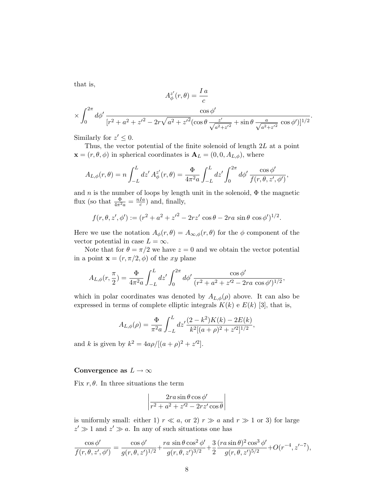that is,

$$
A_{\phi}^{z'}(r,\theta) = \frac{I\,a}{c}
$$

$$
\times \int_0^{2\pi} d\phi' \frac{\cos\phi'}{[r^2 + a^2 + z'^2 - 2r\sqrt{a^2 + z'^2}(\cos\theta \frac{z'}{\sqrt{a^2 + z'^2}} + \sin\theta \frac{a}{\sqrt{a^2 + z'^2}}\cos\phi')]^{1/2}}.
$$

Similarly for  $z' \leq 0$ .

Thus, the vector potential of the finite solenoid of length 2L at a point  $\mathbf{x} = (r, \theta, \phi)$  in spherical coordinates is  $\mathbf{A}_L = (0, 0, A_{L,\phi})$ , where

$$
A_{L,\phi}(r,\theta) = n \int_{-L}^{L} dz' \, A_{\phi}^{z'}(r,\theta) = \frac{\Phi}{4\pi^2 a} \int_{-L}^{L} dz' \int_{0}^{2\pi} d\phi' \, \frac{\cos \phi'}{f(r,\theta,z',\phi')},
$$

and n is the number of loops by length unit in the solenoid,  $\Phi$  the magnetic flux (so that  $\frac{\Phi}{4\pi^2 a} = \frac{nIa}{c}$  $\frac{Ia}{c}$ ) and, finally,

$$
f(r, \theta, z', \phi') := (r^2 + a^2 + z'^2 - 2rz' \cos \theta - 2ra \sin \theta \cos \phi')^{1/2}.
$$

Here we use the notation  $A_{\phi}(r,\theta) = A_{\infty,\phi}(r,\theta)$  for the  $\phi$  component of the vector potential in case  $L = \infty$ .

Note that for  $\theta = \pi/2$  we have  $z = 0$  and we obtain the vector potential in a point  $\mathbf{x} = (r, \pi/2, \phi)$  of the xy plane

$$
A_{L,\phi}(r,\frac{\pi}{2}) = \frac{\Phi}{4\pi^2 a} \int_{-L}^{L} dz' \int_0^{2\pi} d\phi' \frac{\cos\phi'}{(r^2 + a^2 + z'^2 - 2ra\cos\phi')^{1/2}},
$$

which in polar coordinates was denoted by  $A_{L,\phi}(\rho)$  above. It can also be expressed in terms of complete elliptic integrals  $K(k)$  e  $E(k)$  [3], that is,

$$
A_{L,\phi}(\rho) = \frac{\Phi}{\pi^2 a} \int_{-L}^{L} dz' \frac{(2-k^2)K(k) - 2E(k)}{k^2[(a+\rho)^2 + z'^2]^{1/2}},
$$

and k is given by  $k^2 = 4a\rho/[(a+\rho)^2 + z^2]$ .

### Convergence as  $L \to \infty$

Fix  $r, \theta$ . In three situations the term

$$
\left| \frac{2ra\sin\theta\cos\phi'}{r^2 + a^2 + z'^2 - 2rz'\cos\theta} \right|
$$

is uniformly small: either 1)  $r \ll a$ , or 2)  $r \gg a$  and  $r \gg 1$  or 3) for large  $z' \gg 1$  and  $z' \gg a$ . In any of such situations one has

$$
\frac{\cos \phi'}{f(r, \theta, z', \phi')} = \frac{\cos \phi'}{g(r, \theta, z')^{1/2}} + \frac{ra \sin \theta \cos^2 \phi'}{g(r, \theta, z')^{3/2}} + \frac{3}{2} \frac{(ra \sin \theta)^2 \cos^3 \phi'}{g(r, \theta, z')^{5/2}} + O(r^{-4}, z'^{-7}),
$$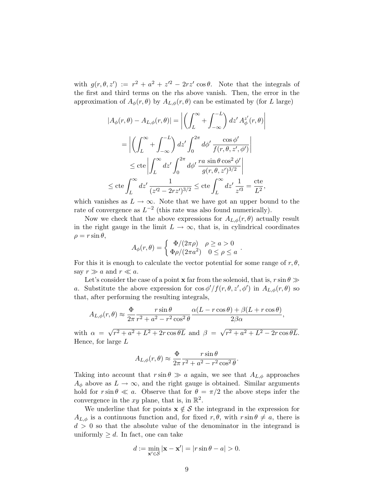with  $g(r, \theta, z') := r^2 + a^2 + z'^2 - 2rz' \cos \theta$ . Note that the integrals of the first and third terms on the rhs above vanish. Then, the error in the approximation of  $A_{\phi}(r,\theta)$  by  $A_{L,\phi}(r,\theta)$  can be estimated by (for L large)

$$
|A_{\phi}(r,\theta) - A_{L,\phi}(r,\theta)| = \left| \left( \int_{L}^{\infty} + \int_{-\infty}^{-L} \right) dz' A_{\phi}^{z'}(r,\theta) \right|
$$
  
\n
$$
= \left| \left( \int_{L}^{\infty} + \int_{-\infty}^{-L} \right) dz' \int_{0}^{2\pi} d\phi' \frac{\cos \phi'}{f(r,\theta,z',\phi')} \right|
$$
  
\n
$$
\leq \text{cte} \left| \int_{L}^{\infty} dz' \int_{0}^{2\pi} d\phi' \frac{r a \sin \theta \cos^{2} \phi'}{g(r,\theta,z')^{3/2}} \right|
$$
  
\n
$$
\leq \text{cte} \int_{L}^{\infty} dz' \frac{1}{(z'^2 - 2rz')^{3/2}} \leq \text{cte} \int_{L}^{\infty} dz' \frac{1}{z'^3} = \frac{\text{cte}}{L^2},
$$

which vanishes as  $L \to \infty$ . Note that we have got an upper bound to the rate of convergence as  $L^{-2}$  (this rate was also found numerically).

Now we check that the above expressions for  $A_{L,\phi}(r,\theta)$  actually result in the right gauge in the limit  $L \to \infty$ , that is, in cylindrical coordinates  $\rho = r \sin \theta$ ,

$$
A_{\phi}(r,\theta) = \begin{cases} \Phi/(2\pi\rho) & \rho \ge a > 0 \\ \Phi\rho/(2\pi a^2) & 0 \le \rho \le a \end{cases}.
$$

For this it is enough to calculate the vector potential for some range of  $r, \theta$ , say  $r \gg a$  and  $r \ll a$ .

Let's consider the case of a point **x** far from the solenoid, that is,  $r \sin \theta \gg$ a. Substitute the above expression for  $\cos \phi'/f(r,\theta,z',\phi')$  in  $A_{L,\phi}(r,\theta)$  so that, after performing the resulting integrals,

$$
A_{L,\phi}(r,\theta) \approx \frac{\Phi}{2\pi} \frac{r \sin \theta}{r^2 + a^2 - r^2 \cos^2 \theta} \frac{\alpha (L - r \cos \theta) + \beta (L + r \cos \theta)}{2\beta \alpha},
$$

with  $\alpha =$ √  $r^2 + a^2 + L^2 + 2r \cos \theta L$  and  $\beta =$ √  $r^2 + a^2 + L^2 - 2r\cos\theta L.$ Hence, for large  $L$ 

$$
A_{L,\phi}(r,\theta) \approx \frac{\Phi}{2\pi} \frac{r \sin \theta}{r^2 + a^2 - r^2 \cos^2 \theta}.
$$

Taking into account that  $r \sin \theta \gg a$  again, we see that  $A_{L,\phi}$  approaches  $A_{\phi}$  above as  $L \rightarrow \infty$ , and the right gauge is obtained. Similar arguments hold for  $r \sin \theta \ll a$ . Observe that for  $\theta = \pi/2$  the above steps infer the convergence in the xy plane, that is, in  $\mathbb{R}^2$ .

We underline that for points  $x \notin S$  the integrand in the expression for  $A_{L,\phi}$  is a continuous function and, for fixed  $r, \theta$ , with  $r \sin \theta \neq a$ , there is  $d > 0$  so that the absolute value of the denominator in the integrand is uniformly  $\geq d$ . In fact, one can take

$$
d := \min_{\mathbf{x}' \in \mathcal{S}} |\mathbf{x} - \mathbf{x}'| = |r \sin \theta - a| > 0.
$$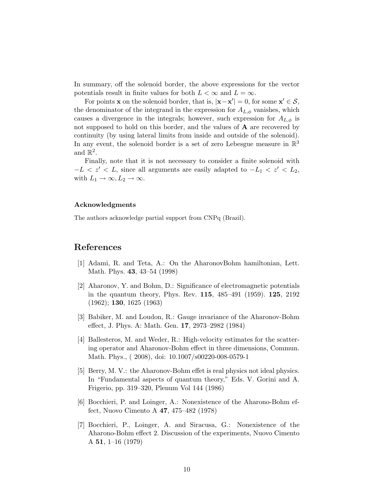In summary, off the solenoid border, the above expressions for the vector potentials result in finite values for both  $L < \infty$  and  $L = \infty$ .

For points **x** on the solenoid border, that is,  $|\mathbf{x} - \mathbf{x}'| = 0$ , for some  $\mathbf{x}' \in \mathcal{S}$ , the denominator of the integrand in the expression for  $A_{L,\phi}$  vanishes, which causes a divergence in the integrals; however, such expression for  $A_{L,\phi}$  is not supposed to hold on this border, and the values of  $A$  are recovered by continuity (by using lateral limits from inside and outside of the solenoid). In any event, the solenoid border is a set of zero Lebesgue measure in  $\mathbb{R}^3$ and  $\mathbb{R}^2$ .

Finally, note that it is not necessary to consider a finite solenoid with  $-L < z' < L$ , since all arguments are easily adapted to  $-L_1 < z' < L_2$ , with  $L_1 \to \infty, L_2 \to \infty$ .

#### Acknowledgments

The authors acknowledge partial support from CNPq (Brazil).

## References

- [1] Adami, R. and Teta, A.: On the AharonovBohm hamiltonian, Lett. Math. Phys. 43, 43–54 (1998)
- [2] Aharonov, Y. and Bohm, D.: Significance of electromagnetic potentials in the quantum theory, Phys. Rev. 115, 485–491 (1959). 125, 2192 (1962); 130, 1625 (1963)
- [3] Babiker, M. and Loudon, R.: Gauge invariance of the Aharonov-Bohm effect, J. Phys. A: Math. Gen. 17, 2973–2982 (1984)
- [4] Ballesteros, M. and Weder, R.: High-velocity estimates for the scattering operator and Aharonov-Bohm effect in three dimensions, Commun. Math. Phys., ( 2008), doi: 10.1007/s00220-008-0579-1
- [5] Berry, M. V.: the Aharonov-Bohm effet is real physics not ideal physics. In "Fundamental aspects of quantum theory," Eds. V. Gorini and A. Frigerio, pp. 319–320, Plenum Vol 144 (1986)
- [6] Bocchieri, P. and Loinger, A.: Nonexistence of the Aharono-Bohm effect, Nuovo Cimento A 47, 475–482 (1978)
- [7] Bocchieri, P., Loinger, A. and Siracusa, G.: Nonexistence of the Aharono-Bohm effect 2. Discussion of the experiments, Nuovo Cimento A 51,  $1-16$  (1979)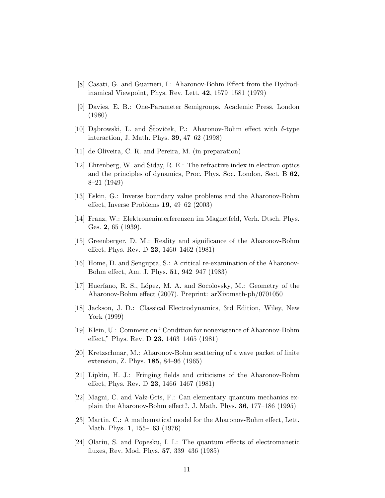- [8] Casati, G. and Guarneri, I.: Aharonov-Bohm Effect from the Hydrodinamical Viewpoint, Phys. Rev. Lett. 42, 1579–1581 (1979)
- [9] Davies, E. B.: One-Parameter Semigroups, Academic Press, London (1980)
- [10] Dąbrowski, L. and Stovíček, P.: Aharonov-Bohm effect with  $\delta$ -type interaction, J. Math. Phys. 39, 47–62 (1998)
- [11] de Oliveira, C. R. and Pereira, M. (in preparation)
- [12] Ehrenberg, W. and Siday, R. E.: The refractive index in electron optics and the principles of dynamics, Proc. Phys. Soc. London, Sect. B 62, 8–21 (1949)
- [13] Eskin, G.: Inverse boundary value problems and the Aharonov-Bohm effect, Inverse Problems 19, 49–62 (2003)
- [14] Franz, W.: Elektroneninterferenzen im Magnetfeld, Verh. Dtsch. Phys. Ges. 2, 65 (1939).
- [15] Greenberger, D. M.: Reality and significance of the Aharonov-Bohm effect, Phys. Rev. D 23, 1460–1462 (1981)
- [16] Home, D. and Sengupta, S.: A critical re-examination of the Aharonov-Bohm effect, Am. J. Phys. 51, 942–947 (1983)
- [17] Huerfano, R. S., L´opez, M. A. and Socolovsky, M.: Geometry of the Aharonov-Bohm effect (2007). Preprint: arXiv:math-ph/0701050
- [18] Jackson, J. D.: Classical Electrodynamics, 3rd Edition, Wiley, New York (1999)
- [19] Klein, U.: Comment on "Condition for nonexistence of Aharonov-Bohm effect," Phys. Rev. D 23, 1463–1465 (1981)
- [20] Kretzschmar, M.: Aharonov-Bohm scattering of a wave packet of finite extension, Z. Phys. 185, 84–96 (1965)
- [21] Lipkin, H. J.: Fringing fields and criticisms of the Aharonov-Bohm effect, Phys. Rev. D 23, 1466–1467 (1981)
- [22] Magni, C. and Valz-Gris, F.: Can elementary quantum mechanics explain the Aharonov-Bohm effect?, J. Math. Phys. 36, 177–186 (1995)
- [23] Martin, C.: A mathematical model for the Aharonov-Bohm effect, Lett. Math. Phys. 1, 155–163 (1976)
- [24] Olariu, S. and Popesku, I. I.: The quantum effects of electromanetic fluxes, Rev. Mod. Phys. 57, 339–436 (1985)